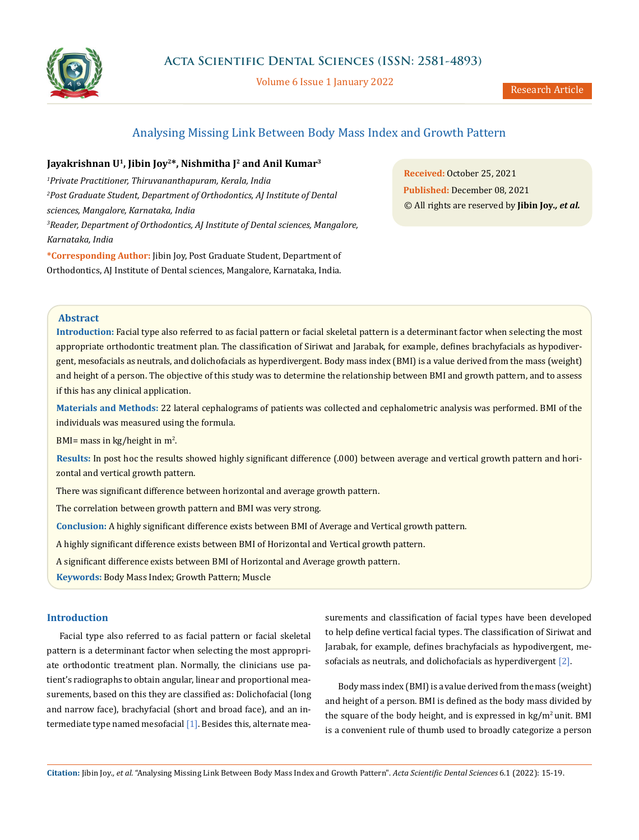

Volume 6 Issue 1 January 2022

# Analysing Missing Link Between Body Mass Index and Growth Pattern

# Jayakrishnan U<sup>1</sup>, Jibin Joy<sup>2\*</sup>, Nishmitha J<sup>2</sup> and Anil Kumar<sup>3</sup>

*1 Private Practitioner, Thiruvananthapuram, Kerala, India 2 Post Graduate Student, Department of Orthodontics, AJ Institute of Dental sciences, Mangalore, Karnataka, India 3 Reader, Department of Orthodontics, AJ Institute of Dental sciences, Mangalore, Karnataka, India*

**\*Corresponding Author:** Jibin Joy, Post Graduate Student, Department of Orthodontics, AJ Institute of Dental sciences, Mangalore, Karnataka, India.

**Received:** October 25, 2021 **Published:** December 08, 2021 © All rights are reserved by **Jibin Joy***., et al.*

### **Abstract**

**Introduction:** Facial type also referred to as facial pattern or facial skeletal pattern is a determinant factor when selecting the most appropriate orthodontic treatment plan. The classification of Siriwat and Jarabak, for example, defines brachyfacials as hypodivergent, mesofacials as neutrals, and dolichofacials as hyperdivergent. Body mass index (BMI) is a value derived from the [mass](https://en.wikipedia.org/wiki/Mass) [\(weight\)](https://en.wikipedia.org/wiki/Mass_versus_weight) and [height](https://en.wikipedia.org/wiki/Height) of a person. The objective of this study was to determine the relationship between BMI and growth pattern, and to assess if this has any clinical application.

**Materials and Methods:** 22 lateral cephalograms of patients was collected and cephalometric analysis was performed. BMI of the individuals was measured using the formula.

BMI= mass in kg/height in m<sup>2</sup>.

**Results:** In post hoc the results showed highly significant difference (.000) between average and vertical growth pattern and horizontal and vertical growth pattern.

There was significant difference between horizontal and average growth pattern.

The correlation between growth pattern and BMI was very strong.

**Conclusion:** A highly significant difference exists between BMI of Average and Vertical growth pattern.

A highly significant difference exists between BMI of Horizontal and Vertical growth pattern.

A significant difference exists between BMI of Horizontal and Average growth pattern.

**Keywords:** Body Mass Index; Growth Pattern; [Muscle](https://en.wikipedia.org/wiki/Muscle)

## **Introduction**

Facial type also referred to as facial pattern or facial skeletal pattern is a determinant factor when selecting the most appropriate orthodontic treatment plan. Normally, the clinicians use patient's radiographs to obtain angular, linear and proportional measurements, based on this they are classified as: Dolichofacial (long and narrow face), brachyfacial (short and broad face), and an intermediate type named mesofacial  $[1]$ . Besides this, alternate measurements and classification of facial types have been developed to help define vertical facial types. The classification of Siriwat and Jarabak, for example, defines brachyfacials as hypodivergent, mesofacials as neutrals, and dolichofacials as hyperdivergent [2].

Body mass index (BMI) is a value derived from the [mass](https://en.wikipedia.org/wiki/Mass) [\(weight\)](https://en.wikipedia.org/wiki/Mass_versus_weight) and [height](https://en.wikipedia.org/wiki/Height) of a person. BMI is defined as the [body mass](https://en.wikipedia.org/wiki/Human_body_weight) divided by the [square](https://en.wikipedia.org/wiki/Square_(algebra)) of the [body height,](https://en.wikipedia.org/wiki/Human_height) and is expressed in  $kg/m<sup>2</sup>$  unit. BMI is a convenient [rule of thumb](https://en.wikipedia.org/wiki/Rule_of_thumb) used to broadly categorize a person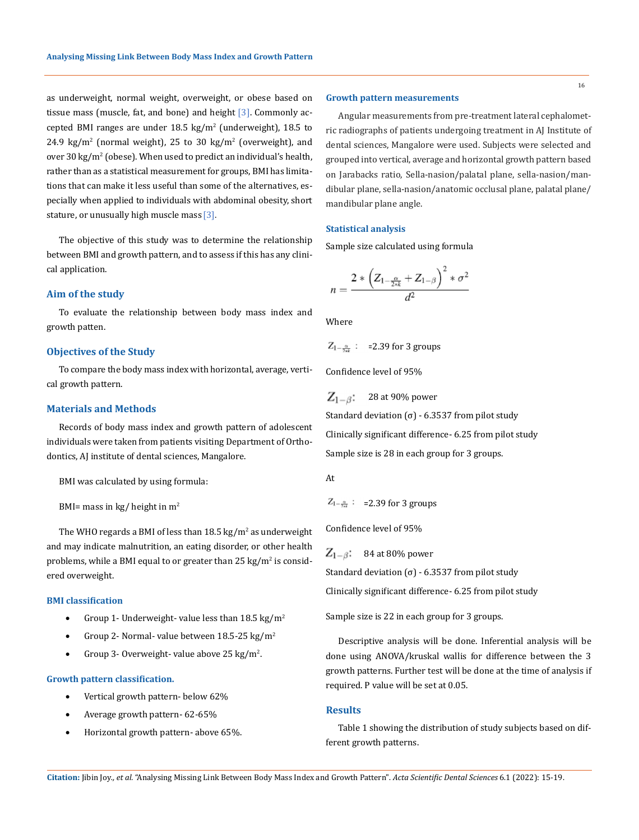as underweight, normal weight, overweight, or obese based on tissue mass ([muscle,](https://en.wikipedia.org/wiki/Muscle) fat, and bone) and height [3]. Commonly accepted BMI ranges are under  $18.5 \text{ kg/m}^2$  (underweight), 18.5 to  $24.9 \text{ kg/m}^2$  (normal weight), 25 to 30 kg/m<sup>2</sup> (overweight), and over 30 kg/m $^2$  (obese). When used to predict an individual's health, rather than as a statistical measurement for groups, BMI has limitations that can make it less useful than some of the alternatives, especially when applied to individuals with [abdominal obesity,](https://en.wikipedia.org/wiki/Abdominal_obesity) [short](https://en.wikipedia.org/wiki/Short_stature)  [stature,](https://en.wikipedia.org/wiki/Short_stature) or [unusually high muscle mass](https://en.wikipedia.org/wiki/Bodybuilding) [3].

The objective of this study was to determine the relationship between BMI and growth pattern, and to assess if this has any clinical application.

### **Aim of the study**

To evaluate the relationship between body mass index and growth patten.

### **Objectives of the Study**

To compare the body mass index with horizontal, average, vertical growth pattern.

### **Materials and Methods**

Records of body mass index and growth pattern of adolescent individuals were taken from patients visiting Department of Orthodontics, AJ institute of dental sciences, Mangalore.

BMI was calculated by using formula:

```
BMI= mass in kg/ height in m<sup>2</sup>
```
The [WHO](https://en.wikipedia.org/wiki/World_Health_Organization) regards a BMI of less than  $18.5\ \mathrm{kg/m^2}$  as underweight and may indicate [malnutrition](https://en.wikipedia.org/wiki/Malnutrition), an [eating disorder](https://en.wikipedia.org/wiki/Eating_disorder), or other health problems, while a BMI equal to or greater than 25 kg/m<sup>2</sup> is considered overweight.

#### **BMI classification**

- Group 1- Underweight- value less than 18.5 kg/m<sup>2</sup>
- Group 2- Normal- value between  $18.5-25 \text{ kg/m}^2$
- Group 3- Overweight- value above  $25 \text{ kg/m}^2$ .

#### **Growth pattern classification.**

- Vertical growth pattern- below 62%
- • Average growth pattern- 62-65%
- Horizontal growth pattern- above 65%.

### **Growth pattern measurements**

Angular measurements from pre-treatment lateral cephalometric radiographs of patients undergoing treatment in AJ Institute of dental sciences, Mangalore were used. Subjects were selected and grouped into vertical, average and horizontal growth pattern based on Jarabacks ratio, Sella-nasion/palatal plane, sella-nasion/mandibular plane, sella-nasion/anatomic occlusal plane, palatal plane/ mandibular plane angle.

#### **Statistical analysis**

Sample size calculated using formula

$$
n=\frac{2*\left(Z_{1-\frac{\alpha}{2*k}}+Z_{1-\beta}\right)^2*\sigma^2}{d^2}
$$

Where

$$
Z_{1-\frac{\alpha}{2\pi k}}: =2.39 \text{ for } 3 \text{ groups}
$$

Confidence level of 95%

$$
Z_{1-\beta}:\quad \text{28 at 90\% power}
$$

Standard deviation (σ) - 6.3537 from pilot study

Clinically significant difference- 6.25 from pilot study

Sample size is 28 in each group for 3 groups.

$$
\mathop{\mathrm{At}}\nolimits
$$

 $Z_{1-\frac{\alpha}{244}}$ : =2.39 for 3 groups

Confidence level of 95%

 $Z_{1-\beta}$ : 84 at 80% power

Standard deviation (σ) - 6.3537 from pilot study

Clinically significant difference- 6.25 from pilot study

Sample size is 22 in each group for 3 groups.

Descriptive analysis will be done. Inferential analysis will be done using ANOVA/kruskal wallis for difference between the 3 growth patterns. Further test will be done at the time of analysis if required. P value will be set at 0.05.

#### **Results**

Table 1 showing the distribution of study subjects based on different growth patterns.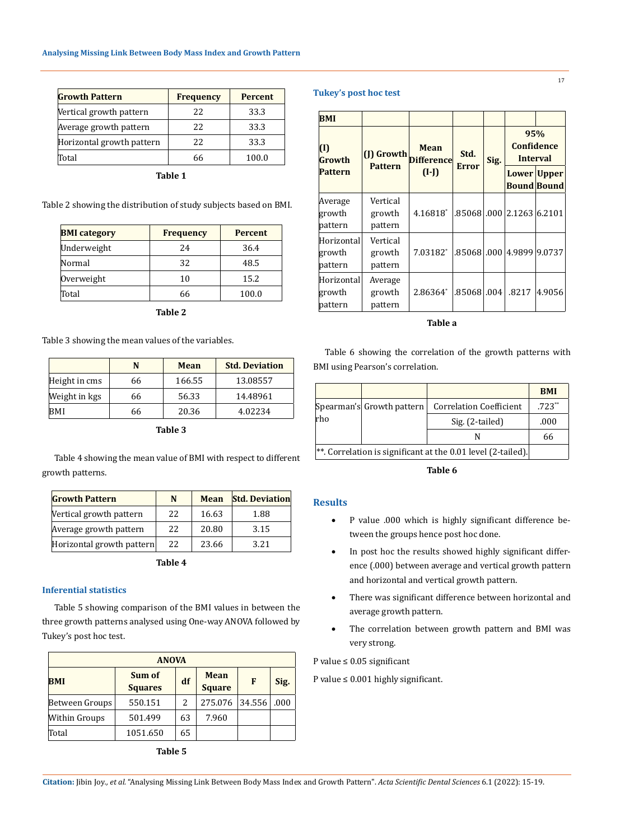| <b>Growth Pattern</b>     | <b>Frequency</b> | <b>Percent</b> |  |
|---------------------------|------------------|----------------|--|
| Vertical growth pattern   | 22.              | 33.3           |  |
| Average growth pattern    | 22.              | 33.3           |  |
| Horizontal growth pattern | 22.              | 33.3           |  |
| Total                     | 66               | 100.0          |  |

| × | ۰.<br>۰, |  |
|---|----------|--|

Table 2 showing the distribution of study subjects based on BMI.

| <b>BMI</b> category | <b>Frequency</b> | <b>Percent</b> |  |
|---------------------|------------------|----------------|--|
| Underweight         | 24               | 36.4           |  |
| Normal              | 32               | 48.5           |  |
| Overweight          | 10               | 15.2           |  |
| Total               | 66               | 100.0          |  |

**Table 2**

Table 3 showing the mean values of the variables.

|               | N  | <b>Mean</b> | <b>Std. Deviation</b> |
|---------------|----|-------------|-----------------------|
| Height in cms | 66 | 166.55      | 13.08557              |
| Weight in kgs | 66 | 56.33       | 14.48961              |
| BMI           | 66 | 20.36       | 4.02234               |

**Table 3**

Table 4 showing the mean value of BMI with respect to different growth patterns.

| <b>Growth Pattern</b>     | N  | <b>Mean</b> | <b>Std. Deviation</b> |
|---------------------------|----|-------------|-----------------------|
| Vertical growth pattern   | 22 | 16.63       | 1.88                  |
| Average growth pattern    | 22 | 20.80       | 3.15                  |
| Horizontal growth pattern | 22 | 23.66       | 3.21                  |

**Table 4**

### **Inferential statistics**

Table 5 showing comparison of the BMI values in between the three growth patterns analysed using One-way ANOVA followed by Tukey's post hoc test.

| <b>ANOVA</b>         |                          |    |                              |        |      |  |
|----------------------|--------------------------|----|------------------------------|--------|------|--|
| <b>BMI</b>           | Sum of<br><b>Squares</b> | df | <b>Mean</b><br><b>Square</b> | F      | Sig. |  |
| Between Groups       | 550.151                  | 2  | 275.076                      | 34.556 | .000 |  |
| <b>Within Groups</b> | 501.499                  | 63 | 7.960                        |        |      |  |
| Total                | 1051.650                 | 65 |                              |        |      |  |

### **Tukey's post hoc test**

| <b>BMI</b>                      |                               |                           |              |      |                                      |                                   |  |
|---------------------------------|-------------------------------|---------------------------|--------------|------|--------------------------------------|-----------------------------------|--|
| $\mathbf{(I)}$<br>Growth        | (J) Growth<br><b>Pattern</b>  | Mean<br><b>Difference</b> | Std.         | Sig. | 95%<br><b>Confidence</b><br>Interval |                                   |  |
| <b>Pattern</b>                  |                               | $(I-I)$                   | <b>Error</b> |      |                                      | Lower Upper<br><b>Bound Bound</b> |  |
| Average<br>growth<br>pattern    | Vertical<br>growth<br>pattern | 4.16818*                  | .85068       |      | $.000 \mid 2.1263 \mid 6.2101$       |                                   |  |
| Horizontal<br>growth<br>pattern | Vertical<br>growth<br>pattern | 7.03182*                  | .85068       |      | $.000 \,   4.9899 \,   9.0737$       |                                   |  |
| Horizontal<br>growth<br>pattern | Average<br>growth<br>pattern  | 2.86364*                  | .85068       | .004 | .8217                                | 4.9056                            |  |

**Table a**

Table 6 showing the correlation of the growth patterns with BMI using Pearson's correlation.

|                                                              |                           |                                | <b>BMI</b> |
|--------------------------------------------------------------|---------------------------|--------------------------------|------------|
|                                                              | Spearman's Growth pattern | <b>Correlation Coefficient</b> | $.723**$   |
| rho                                                          |                           | Sig. (2-tailed)                | .000       |
|                                                              |                           |                                | 66         |
| **. Correlation is significant at the 0.01 level (2-tailed). |                           |                                |            |

**Table 6**

### **Results**

- • P value .000 which is highly significant difference between the groups hence post hoc done.
- In post hoc the results showed highly significant difference (.000) between average and vertical growth pattern and horizontal and vertical growth pattern.
- There was significant difference between horizontal and average growth pattern.
- The correlation between growth pattern and BMI was very strong.

P value ≤ 0.05 significant

P value  $\leq 0.001$  highly significant.

**Citation:** Jibin Joy*., et al.* "Analysing Missing Link Between Body Mass Index and Growth Pattern". *Acta Scientific Dental Sciences* 6.1 (2022): 15-19.

17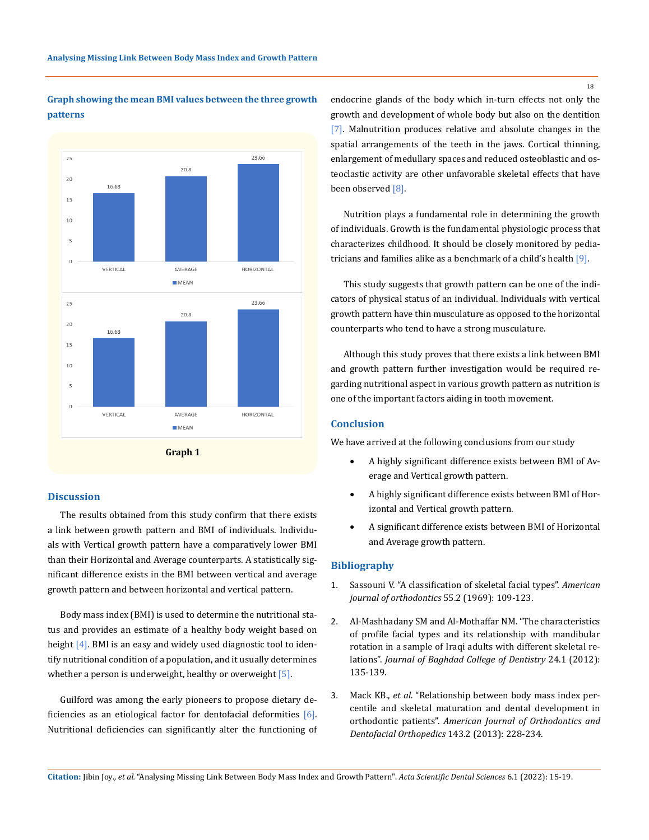# **Graph showing the mean BMI values between the three growth patterns**



### **Discussion**

The results obtained from this study confirm that there exists a link between growth pattern and BMI of individuals. Individuals with Vertical growth pattern have a comparatively lower BMI than their Horizontal and Average counterparts. A statistically significant difference exists in the BMI between vertical and average growth pattern and between horizontal and vertical pattern.

Body mass index (BMI) is used to determine the nutritional status and provides an estimate of a healthy body weight based on height  $[4]$ . BMI is an easy and widely used diagnostic tool to identify nutritional condition of a population, and it usually determines whether a person is underweight, healthy or overweight  $[5]$ .

Guilford was among the early pioneers to propose dietary deficiencies as an etiological factor for dentofacial deformities [6]. Nutritional deficiencies can significantly alter the functioning of endocrine glands of the body which in-turn effects not only the growth and development of whole body but also on the dentition [7]. Malnutrition produces relative and absolute changes in the spatial arrangements of the teeth in the jaws. Cortical thinning, enlargement of medullary spaces and reduced osteoblastic and osteoclastic activity are other unfavorable skeletal effects that have been observed [8].

Nutrition plays a fundamental role in determining the growth of individuals. Growth is the fundamental physiologic process that characterizes childhood. It should be closely monitored by pediatricians and families alike as a benchmark of a child's health [9].

This study suggests that growth pattern can be one of the indicators of physical status of an individual. Individuals with vertical growth pattern have thin musculature as opposed to the horizontal counterparts who tend to have a strong musculature.

Although this study proves that there exists a link between BMI and growth pattern further investigation would be required regarding nutritional aspect in various growth pattern as nutrition is one of the important factors aiding in tooth movement.

### **Conclusion**

We have arrived at the following conclusions from our study

- A highly significant difference exists between BMI of Average and Vertical growth pattern.
- • A highly significant difference exists between BMI of Horizontal and Vertical growth pattern.
- A significant difference exists between BMI of Horizontal and Average growth pattern.

### **Bibliography**

- 1. [Sassouni V. "A classification of skeletal facial types".](https://pubmed.ncbi.nlm.nih.gov/5249177/) *American [journal of orthodontics](https://pubmed.ncbi.nlm.nih.gov/5249177/)* 55.2 (1969): 109-123.
- 2. [Al-Mashhadany SM and Al-Mothaffar NM. "The characteristics](https://www.researchgate.net/publication/344273296_The_characteristics_of_profile_facial_types_and_its_relation_with_mandibular_rotation_in_a_sample_of_Iraqi_adults_with_different_skeletal_relations)  [of profile facial types and its relationship with mandibular](https://www.researchgate.net/publication/344273296_The_characteristics_of_profile_facial_types_and_its_relation_with_mandibular_rotation_in_a_sample_of_Iraqi_adults_with_different_skeletal_relations)  [rotation in a sample of Iraqi adults with different skeletal re](https://www.researchgate.net/publication/344273296_The_characteristics_of_profile_facial_types_and_its_relation_with_mandibular_rotation_in_a_sample_of_Iraqi_adults_with_different_skeletal_relations)lations". *[Journal of Baghdad College of Dentistry](https://www.researchgate.net/publication/344273296_The_characteristics_of_profile_facial_types_and_its_relation_with_mandibular_rotation_in_a_sample_of_Iraqi_adults_with_different_skeletal_relations)* 24.1 (2012): [135-139.](https://www.researchgate.net/publication/344273296_The_characteristics_of_profile_facial_types_and_its_relation_with_mandibular_rotation_in_a_sample_of_Iraqi_adults_with_different_skeletal_relations)
- 3. Mack KB., *et al.* ["Relationship between body mass index per](https://pubmed.ncbi.nlm.nih.gov/23374930/)[centile and skeletal maturation and dental development in](https://pubmed.ncbi.nlm.nih.gov/23374930/)  orthodontic patients". *[American Journal of Orthodontics and](https://pubmed.ncbi.nlm.nih.gov/23374930/)  Dentofacial Orthopedics* [143.2 \(2013\): 228-234.](https://pubmed.ncbi.nlm.nih.gov/23374930/)

18